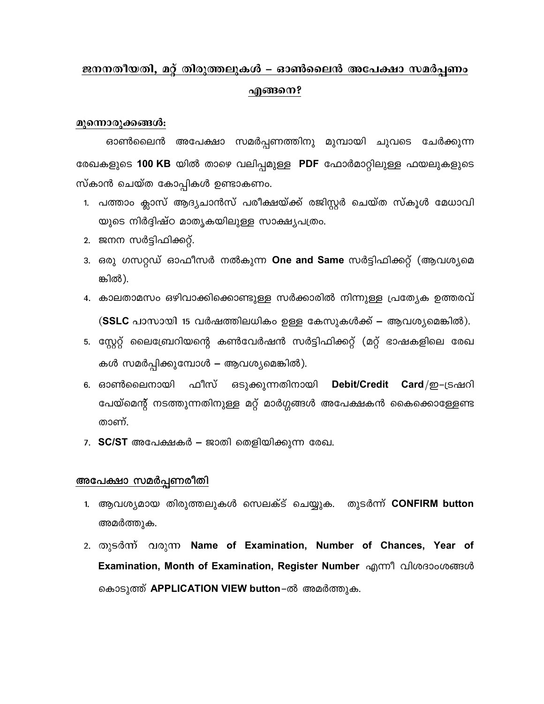# ജനനതീയതി, മറ്റ് തിരുത്തലുകൾ – ഓൺലൈൻ അപേക്ഷാ സമർപ്പണം എങ്ങനെ?

### മുന്നൊരുക്കങ്ങൾ:

ഓൺലൈൻ അപേക്ഷാ സമർപ്പണത്തിനു മുമ്പായി ചുവടെ ചേർക്കുന്ന രേഖകളുടെ **100 KB** യിൽ താഴെ വലിപ്പമുള്ള PDF ഫോർമാറ്റിലുള്ള ഫയലുകളുടെ സ്കാൻ ചെയ്ത കോപ്പികൾ ഉണ്ടാകണം.

- 1. പത്താം ക്ലാസ് ആദ്യചാൻസ് പരീക്ഷയ്ക്ക് രജിസ്റ്റർ ചെയ്ത സ്കൂൾ മേധാവി യുടെ നിർദ്ദിഷ്ഠ മാതൃകയിലുള്ള സാക്ഷ്യപത്രം.
- 2. ജനന സർട്ടിഫിക്കറ്റ്.
- 3. ഒരു ഗസറ്റഡ് ഓഫീസർ നൽകുന്ന One and Same സർട്ടിഫിക്കറ്റ് (ആവശ്യമെ ങ്കിൽ).
- 4. കാലതാമസം ഒഴിവാക്കിക്കൊണ്ടുള്ള സർക്കാരിൽ നിന്നുള്ള പ്രത്യേക ഉത്തരവ് (SSLC പാസായി 15 വർഷത്തിലധികം ഉള്ള കേസുകൾക്ക് – ആവശ്യമെങ്കിൽ).
- 5. സ്റ്റേറ്റ് ലൈബ്രേറിയന്റെ കൺവേർഷൻ സർട്ടിഫിക്കറ്റ് (മറ്റ് ഭാഷകളിലെ രേഖ കൾ സമർപ്പിക്കുമ്പോൾ – ആവശ്യമെങ്കിൽ).
- 6. ഓൺലൈനായി ഫീസ് ഒടുക്കുന്നതിനായി Debit/Credit Card/ഇ–ട്രഷറി പേയ്മെന്റ് നടത്തുന്നതിനുള്ള മറ്റ് മാർഗ്ഗങ്ങൾ അപേക്ഷകൻ കൈക്കൊള്ളേണ്ട താണ്.
- 7. SC/ST അപേക്ഷകർ ജാതി തെളിയിക്കുന്ന രേഖ.

## <u>അപേക്ഷാ സമർപ്പണരീതി</u>

- 1. ആവശ്യമായ തിരുത്തലുകൾ സെലക്ട് ചെയ്യുക. തുടർന്ന് CONFIRM button അമർത്തുക.
- 2. തുടർന്ന് വരുന്ന Name of Examination, Number of Chances, Year of Examination, Month of Examination, Register Number എന്നീ വിശദാംശങ്ങൾ കൊടുത്ത് APPLICATION VIEW button-ൽ അമർത്തുക.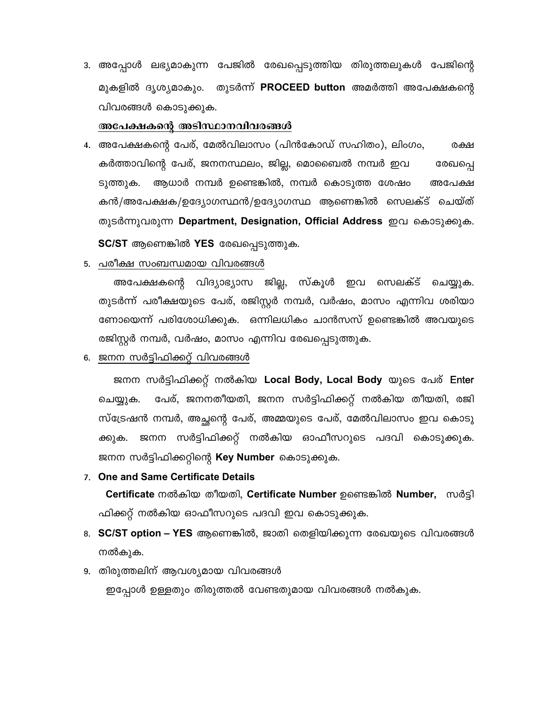3. അപ്പോൾ ലഭ്യമാകുന്ന പേജിൽ രേഖപ്പെടുത്തിയ തിരുത്തലുകൾ പേജിന്റെ മുകളിൽ ദൃശ്യമാകും. തുടർന്ന് PROCEED button അമർത്തി അപേക്ഷകന്റെ വിവരങ്ങൾ കൊടുക്കുക.

#### അപേക്ഷകന്റെ അടിസ്ഥാനവിവരങ്ങൾ

- 4. അപേക്ഷകന്റെ പേര്, മേൽവിലാസം (പിൻകോഡ് സഹിതം), ലിംഗം, രക്ഷ കർത്താവിന്റെ പേര്, ജനനസ്ഥലം, ജില്ല, മൊബൈൽ നമ്പർ ഇവ രേഖപ്പെ ആധാർ നമ്പർ ഉണ്ടെങ്കിൽ, നമ്പർ കൊടുത്ത ശേഷം ടുത്തുക. അപേക്ഷ കൻ/അപേക്ഷക/ഉദ്യോഗസ്ഥൻ/ഉദ്യോഗസ്ഥ ആണെങ്കിൽ സെലക്ട് ചെയ്ത് തുടർന്നുവരുന്ന Department, Designation, Official Address ഇവ കൊടുക്കുക. SC/ST ആണെങ്കിൽ YES രേഖപ്പെടുത്തുക.
- 5. <u>പരീക്ഷ സം</u>ബന്ധമായ വിവരങ്ങൾ

അപേക്ഷകന്റെ വിദ്യാഭ്യാസ ജില്ല, സ്കൂൾ ഇവ സെലക്ട് ചെയ്യുക. തുടർന്ന് പരീക്ഷയുടെ പേര്, രജിസ്റ്റർ നമ്പർ, വർഷം, മാസം എന്നിവ ശരിയാ ണോയെന്ന് പരിശോധിക്കുക. ഒന്നിലധികം ചാൻസസ് ഉണ്ടെങ്കിൽ അവയുടെ രജിസ്റ്റർ നമ്പർ, വർഷം, മാസം എന്നിവ രേഖപ്പെടുത്തുക.

6. ജനന സർട്ടിഫിക്കറ്റ് വിവരങ്ങൾ

ജനന സർട്ടിഫിക്കറ്റ് നൽകിയ Local Body, Local Body യുടെ പേര് Enter പേര്, ജനനതീയതി, ജനന സർട്ടിഫിക്കറ്റ് നൽകിയ തീയതി, രജി ചെയ്യുക. സ്ട്രേഷൻ നമ്പർ, അച്ഛന്റെ പേര്, അമ്മയുടെ പേര്, മേൽവിലാസം ഇവ കൊടു ജനന സർട്ടിഫിക്കറ്റ് നൽകിയ ഓഫീസറുടെ പദവി കൊടുക്കുക. ക്കുക. ജനന സർട്ടിഫിക്കറ്റിന്റെ **Key Number** കൊടുക്കുക.

7. One and Same Certificate Details

Certificate നൽകിയ തീയതി, Certificate Number ഉണ്ടെങ്കിൽ Number, സർട്ടി ഫിക്കറ്റ് നൽകിയ ഓഫീസറുടെ പദവി ഇവ കൊടുക്കുക.

- 8. SC/ST option YES ആണെങ്കിൽ, ജാതി തെളിയിക്കുന്ന രേഖയുടെ വിവരങ്ങൾ നൽകുക.
- 9. തിരുത്തലിന് ആവശ്യമായ വിവരങ്ങൾ

ഇപ്പോൾ ഉള്ളതും തിരുത്തൽ വേണ്ടതുമായ വിവരങ്ങൾ നൽകുക.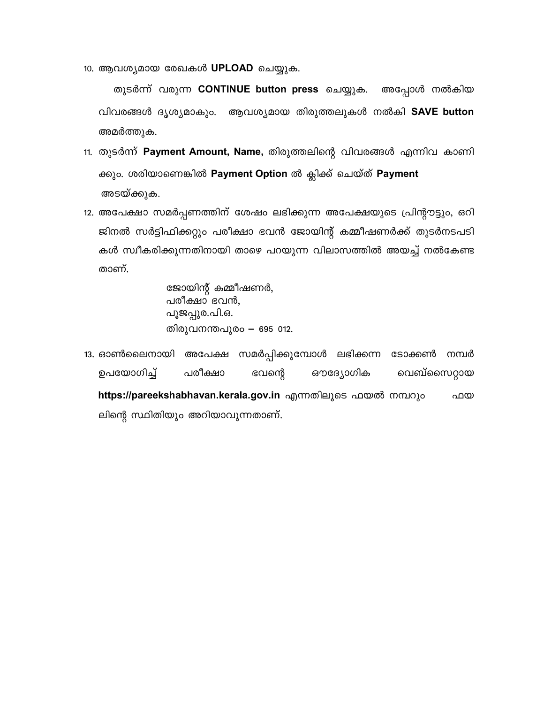10. ആവശ്യമായ രേഖകൾ UPLOAD ചെയ്യുക.

തുടർന്ന് വരുന്ന CONTINUE button press ചെയ്യുക. അപ്പോൾ നൽകിയ വിവരങ്ങൾ ദൃശ്യമാകും. ആവശ്യമായ തിരുത്തലുകൾ നൽകി SAVE button അമർത്തുക.

- 11. തുടർന്ന് Payment Amount, Name, തിരുത്തലിന്റെ വിവരങ്ങൾ എന്നിവ കാണി ക്കും. ശരിയാണെങ്കിൽ Payment Option ൽ ക്ലിക്ക് ചെയ്ത് Payment അടയ്ക്കുക.
- 12. അപേക്ഷാ സമർപ്പണത്തിന് ശേഷം ലഭിക്കുന്ന അപേക്ഷയുടെ പ്രിന്റൗട്ടും, ഒറി ജിനൽ സർട്ടിഫിക്കറ്റും പരീക്ഷാ ഭവൻ ജോയിന്റ് കമ്മീഷണർക്ക് തുടർനടപടി കൾ സ്വീകരിക്കുന്നതിനായി താഴെ പറയുന്ന വിലാസത്തിൽ അയച്ച് നൽകേണ്ട താണ്.

ജോയിന്റ് കമ്മീഷണർ, പരീക്ഷാ ഭവൻ, പൂജപ്പുര.പി.ഒ. തിരുവനന്തപുരം — 695 012.

അപേക്ഷ സമർപ്പിക്കുമ്പോൾ ലഭിക്കന്ന 13. ഓൺലൈനായി ടോക്കൺ നമ്പർ ഉപയോഗിച്ച് പരീക്ഷാ ഭവന്റെ ഔദ്യോഗിക വെബ്സൈറ്റായ https://pareekshabhavan.kerala.gov.in എന്നതിലൂടെ ഫയൽ നമ്പറും ഫയ ലിന്റെ സ്ഥിതിയും അറിയാവുന്നതാണ്.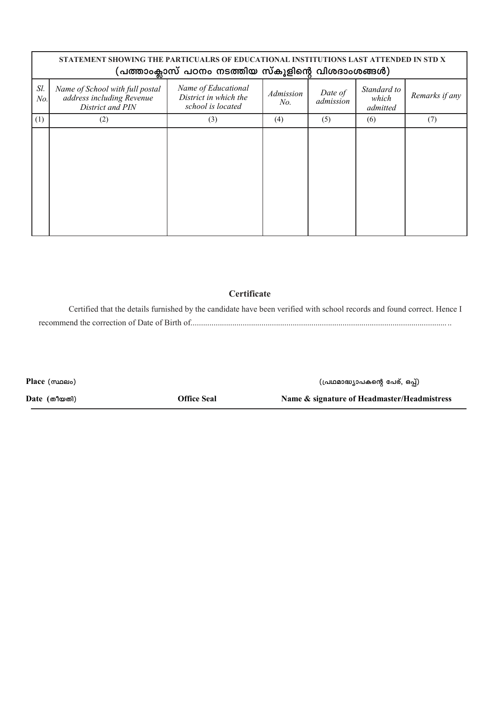|            | STATEMENT SHOWING THE PARTICUALRS OF EDUCATIONAL INSTITUTIONS LAST ATTENDED IN STD X<br>(പത്താംക്ലാസ് പഠനം നടത്തിയ സ്കൂളിന്റെ വിശദാംശങ്ങൾ) |                                                                   |                  |                      |                                  |                |  |  |  |  |  |
|------------|--------------------------------------------------------------------------------------------------------------------------------------------|-------------------------------------------------------------------|------------------|----------------------|----------------------------------|----------------|--|--|--|--|--|
| Sl.<br>No. | Name of School with full postal<br>address including Revenue<br>District and PIN                                                           | Name of Educational<br>District in which the<br>school is located | Admission<br>No. | Date of<br>admission | Standard to<br>which<br>admitted | Remarks if any |  |  |  |  |  |
| (1)        | (2)                                                                                                                                        | (3)                                                               | (4)              | (5)                  | (6)                              | (7)            |  |  |  |  |  |
|            |                                                                                                                                            |                                                                   |                  |                      |                                  |                |  |  |  |  |  |

## Certificate

Certified that the details furnished by the candidate have been verified with school records and found correct. Hence I 

| Place (mines) |                    | (പ്രഥമാദ്ധ്യാപകന്റെ പേര്, ഒപ്പ്)            |
|---------------|--------------------|---------------------------------------------|
| Date (തീയതി)  | <b>Office Seal</b> | Name & signature of Headmaster/Headmistress |
|               |                    |                                             |